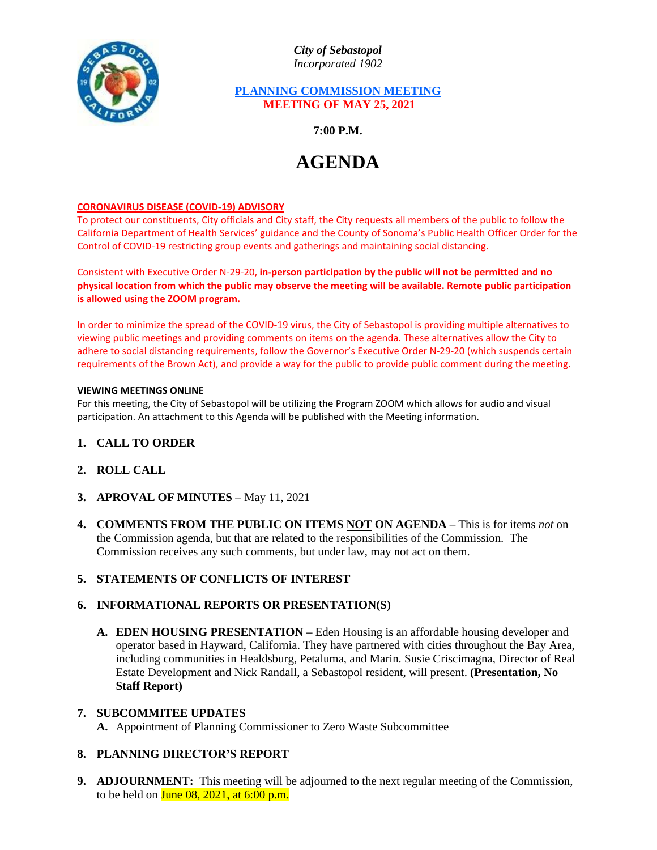

*City of Sebastopol Incorporated 1902*

## **PLANNING COMMISSION MEETING MEETING OF MAY 25, 2021**

**7:00 P.M.**

# **AGENDA**

## **CORONAVIRUS DISEASE (COVID-19) ADVISORY**

To protect our constituents, City officials and City staff, the City requests all members of the public to follow the California Department of Health Services' guidance and the County of Sonoma's Public Health Officer Order for the Control of COVID-19 restricting group events and gatherings and maintaining social distancing.

Consistent with Executive Order N-29-20, **in-person participation by the public will not be permitted and no physical location from which the public may observe the meeting will be available. Remote public participation is allowed using the ZOOM program.**

In order to minimize the spread of the COVID-19 virus, the City of Sebastopol is providing multiple alternatives to viewing public meetings and providing comments on items on the agenda. These alternatives allow the City to adhere to social distancing requirements, follow the Governor's Executive Order N-29-20 (which suspends certain requirements of the Brown Act), and provide a way for the public to provide public comment during the meeting.

#### **VIEWING MEETINGS ONLINE**

For this meeting, the City of Sebastopol will be utilizing the Program ZOOM which allows for audio and visual participation. An attachment to this Agenda will be published with the Meeting information.

- **1. CALL TO ORDER**
- **2. ROLL CALL**
- **3. APROVAL OF MINUTES** May 11, 2021
- **4. COMMENTS FROM THE PUBLIC ON ITEMS NOT ON AGENDA** This is for items *not* on the Commission agenda, but that are related to the responsibilities of the Commission. The Commission receives any such comments, but under law, may not act on them.

## **5. STATEMENTS OF CONFLICTS OF INTEREST**

## **6. INFORMATIONAL REPORTS OR PRESENTATION(S)**

**A. EDEN HOUSING PRESENTATION –** Eden Housing is an affordable housing developer and operator based in Hayward, California. They have partnered with cities throughout the Bay Area, including communities in Healdsburg, Petaluma, and Marin. Susie Criscimagna, Director of Real Estate Development and Nick Randall, a Sebastopol resident, will present. **(Presentation, No Staff Report)**

## **7. SUBCOMMITEE UPDATES**

**A.** Appointment of Planning Commissioner to Zero Waste Subcommittee

## **8. PLANNING DIRECTOR'S REPORT**

**9. ADJOURNMENT:** This meeting will be adjourned to the next regular meeting of the Commission, to be held on  $June\ 08, 2021, at\ 6:00 p.m.$